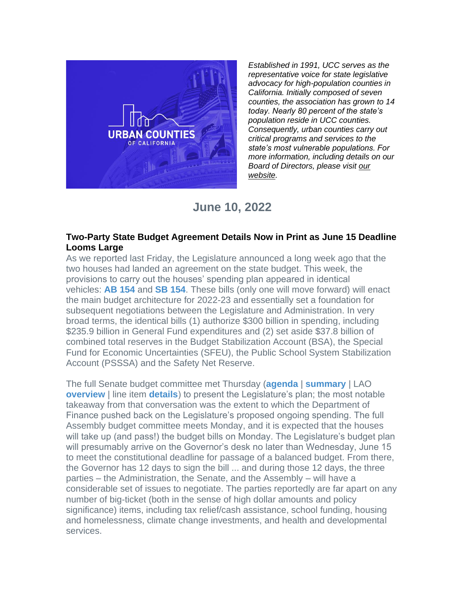

*Established in 1991, UCC serves as the representative voice for state legislative advocacy for high-population counties in California. Initially composed of seven counties, the association has grown to 14 today. Nearly 80 percent of the state's population reside in UCC counties. Consequently, urban counties carry out critical programs and services to the state's most vulnerable populations. For more information, including details on our Board of Directors, please visit [our](https://r20.rs6.net/tn.jsp?f=001z-BzAKVFjzqGNNJf8Ond79RELsZf_VbKukHTTOnqSGThaaw7TxOyCz6uYa9WR22tTZOx5svqcvw4oRxOivXpfYT7T5MaIU3ytEBl6v4X1thF4DTzHtQpA_KmRi7F466D8MQOHj9dEAEXoNWh3lylRQ==&c=qn_HGWaxqXE8YUCnycEtgnFvVH4BXNUATl_gH-OumHG-oyltCA1LOQ==&ch=gCZsGYpOsdTr78J8ssTPtfypbor4KuLCaAi5D8huQcbUO2eBjARamg==)  [website.](https://r20.rs6.net/tn.jsp?f=001z-BzAKVFjzqGNNJf8Ond79RELsZf_VbKukHTTOnqSGThaaw7TxOyCz6uYa9WR22tTZOx5svqcvw4oRxOivXpfYT7T5MaIU3ytEBl6v4X1thF4DTzHtQpA_KmRi7F466D8MQOHj9dEAEXoNWh3lylRQ==&c=qn_HGWaxqXE8YUCnycEtgnFvVH4BXNUATl_gH-OumHG-oyltCA1LOQ==&ch=gCZsGYpOsdTr78J8ssTPtfypbor4KuLCaAi5D8huQcbUO2eBjARamg==)*

## **June 10, 2022**

## **Two-Party State Budget Agreement Details Now in Print as June 15 Deadline Looms Large**

As we reported last Friday, the Legislature announced a long week ago that the two houses had landed an agreement on the state budget. This week, the provisions to carry out the houses' spending plan appeared in identical vehicles: **[AB 154](https://r20.rs6.net/tn.jsp?f=001z-BzAKVFjzqGNNJf8Ond79RELsZf_VbKukHTTOnqSGThaaw7TxOyC_CFW2IV5N_8nfWfsG46LCD-2xZ2gfD7kuqwwdmVm7S7DUoF7YRDbR1fDcqsSqbHo59Qs1BThWF3IXwMaVdzREZ1DrbBShVRW6Y_hry_QY5DpJQqjiPRoxx9z2C6LPHuNCBh78IrkaaOFB4FQUPUJXd6kfmKsE5-a_2wx_U2uH_V-suau95Z-XQ=&c=qn_HGWaxqXE8YUCnycEtgnFvVH4BXNUATl_gH-OumHG-oyltCA1LOQ==&ch=gCZsGYpOsdTr78J8ssTPtfypbor4KuLCaAi5D8huQcbUO2eBjARamg==)** and **[SB 154](https://r20.rs6.net/tn.jsp?f=001z-BzAKVFjzqGNNJf8Ond79RELsZf_VbKukHTTOnqSGThaaw7TxOyC_CFW2IV5N_8uVTIV8rLx1jFAAI_cdR19DRAOfMbVvQ-dyyBRLrC5kks774bAZurA4pu9zLZgSCqgSbocHvQvsyRWrBnS8uzVm4TgK14-n-5AnwojUiXH0UBKvTGnMhLXEDGRyAmYORZNiHULMkGRmwFXHEyWE2zxF6XbHVOwMaMhUY47eGTDoM=&c=qn_HGWaxqXE8YUCnycEtgnFvVH4BXNUATl_gH-OumHG-oyltCA1LOQ==&ch=gCZsGYpOsdTr78J8ssTPtfypbor4KuLCaAi5D8huQcbUO2eBjARamg==)**. These bills (only one will move forward) will enact the main budget architecture for 2022-23 and essentially set a foundation for subsequent negotiations between the Legislature and Administration. In very broad terms, the identical bills (1) authorize \$300 billion in spending, including \$235.9 billion in General Fund expenditures and (2) set aside \$37.8 billion of combined total reserves in the Budget Stabilization Account (BSA), the Special Fund for Economic Uncertainties (SFEU), the Public School System Stabilization Account (PSSSA) and the Safety Net Reserve.

The full Senate budget committee met Thursday (**[agenda](https://r20.rs6.net/tn.jsp?f=001z-BzAKVFjzqGNNJf8Ond79RELsZf_VbKukHTTOnqSGThaaw7TxOyC7FzaJTU-XFA12eqKu_QjtLLcmpMy2CnhJI38C9Y8qhp7ocgqBJXPKettFxY6VB5uE8f-7PGfPNJBt8ud-sYqbuU3Kn5Mor7-1HRyQEIQQFEAOb24NMlI-sTaUsBEu5QGNePUPS7agwDEPooZRBCkrm936_42xqBbbiXuUiC_9RtratqBWwTNSWDxbVKiCG0xw==&c=qn_HGWaxqXE8YUCnycEtgnFvVH4BXNUATl_gH-OumHG-oyltCA1LOQ==&ch=gCZsGYpOsdTr78J8ssTPtfypbor4KuLCaAi5D8huQcbUO2eBjARamg==)** | **[summary](https://r20.rs6.net/tn.jsp?f=001z-BzAKVFjzqGNNJf8Ond79RELsZf_VbKukHTTOnqSGThaaw7TxOyC7FzaJTU-XFAElFhZN3szBgbCLraxOpqRZsUNr5YiR_7Q7Rq-Me1Hw96VCUAHo6LcYYDRhtRVUq5b_NpKaFl0OxOtkiBeRI1b01u8zt0u6WiaQG3KovPrCR6daO0PIqsepBXhjVP7frWeznuKyu6wpWiSIGyDUDRpr8G3tYayfbIQH8vy6sltPVm2kJ87RdBPOtWwmvuH10KC2OeixV6Jm4=&c=qn_HGWaxqXE8YUCnycEtgnFvVH4BXNUATl_gH-OumHG-oyltCA1LOQ==&ch=gCZsGYpOsdTr78J8ssTPtfypbor4KuLCaAi5D8huQcbUO2eBjARamg==)** | LAO **[overview](https://r20.rs6.net/tn.jsp?f=001z-BzAKVFjzqGNNJf8Ond79RELsZf_VbKukHTTOnqSGThaaw7TxOyC7FzaJTU-XFAiNiURalhXe3w-4xqnWWWSWVCije9_21Zg-syK-bI1QNgOq2_rrKF9YRkufihZTlISpcSDv9BagdcQqtVrUIdb-kklOnH6UfpWCPVRIJntSFZiML5ZInSk1oAw01IhmDSnkkni-HjOet5hsj1wK076rTaD4pXYi6yf5lZgbIdxTw=&c=qn_HGWaxqXE8YUCnycEtgnFvVH4BXNUATl_gH-OumHG-oyltCA1LOQ==&ch=gCZsGYpOsdTr78J8ssTPtfypbor4KuLCaAi5D8huQcbUO2eBjARamg==)** I line item **[details](https://r20.rs6.net/tn.jsp?f=001z-BzAKVFjzqGNNJf8Ond79RELsZf_VbKukHTTOnqSGThaaw7TxOyC7FzaJTU-XFAbg7HNwUhlI8v6FSQN3m4T-T-p_idXfjCmWj3BeKwHPFFIHxtt9wHfYXVN7q-eA8FJZhko6__lZA_P1or727HEX3ybFfSpaOAjTQJ19YoGJLX4fxQ33mKc08chv_GHfSgajTkfPRwE0lG4yaJH8N-q8FtktL38WrXobKx82fcz6gg7yaekFYxYyxqUvmyhwWyM41YPwrZmIZRwOlONTwTMw==&c=qn_HGWaxqXE8YUCnycEtgnFvVH4BXNUATl_gH-OumHG-oyltCA1LOQ==&ch=gCZsGYpOsdTr78J8ssTPtfypbor4KuLCaAi5D8huQcbUO2eBjARamg==)**) to present the Legislature's plan; the most notable takeaway from that conversation was the extent to which the Department of Finance pushed back on the Legislature's proposed ongoing spending. The full Assembly budget committee meets Monday, and it is expected that the houses will take up (and pass!) the budget bills on Monday. The Legislature's budget plan will presumably arrive on the Governor's desk no later than Wednesday, June 15 to meet the constitutional deadline for passage of a balanced budget. From there, the Governor has 12 days to sign the bill ... and during those 12 days, the three parties – the Administration, the Senate, and the Assembly – will have a considerable set of issues to negotiate. The parties reportedly are far apart on any number of big-ticket (both in the sense of high dollar amounts and policy significance) items, including tax relief/cash assistance, school funding, housing and homelessness, climate change investments, and health and developmental services.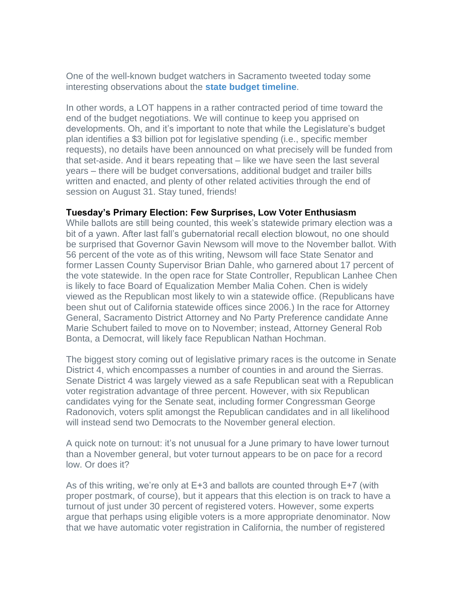One of the well-known budget watchers in Sacramento tweeted today some interesting observations about the **[state budget timeline](https://r20.rs6.net/tn.jsp?f=001z-BzAKVFjzqGNNJf8Ond79RELsZf_VbKukHTTOnqSGThaaw7TxOyC7FzaJTU-XFAhkSw4osCIjvmb3tl7yTwnPCuv5TYkHowgI9zxt3TqyTr6wwvUXsx6jaROWAnUmi9GDmgpRQa1PwbFVcwHOuNMD0IaRS6JE4uySQ7frKL6ALs3TjuLbHf_4qVVR1_qIBfshIgwalFrUI6V6emxfEm_BEfiAmLLoRCJ6L0ylxz1n8=&c=qn_HGWaxqXE8YUCnycEtgnFvVH4BXNUATl_gH-OumHG-oyltCA1LOQ==&ch=gCZsGYpOsdTr78J8ssTPtfypbor4KuLCaAi5D8huQcbUO2eBjARamg==)**.

In other words, a LOT happens in a rather contracted period of time toward the end of the budget negotiations. We will continue to keep you apprised on developments. Oh, and it's important to note that while the Legislature's budget plan identifies a \$3 billion pot for legislative spending (i.e., specific member requests), no details have been announced on what precisely will be funded from that set-aside. And it bears repeating that – like we have seen the last several years – there will be budget conversations, additional budget and trailer bills written and enacted, and plenty of other related activities through the end of session on August 31. Stay tuned, friends!

## **Tuesday's Primary Election: Few Surprises, Low Voter Enthusiasm**

While ballots are still being counted, this week's statewide primary election was a bit of a yawn. After last fall's gubernatorial recall election blowout, no one should be surprised that Governor Gavin Newsom will move to the November ballot. With 56 percent of the vote as of this writing, Newsom will face State Senator and former Lassen County Supervisor Brian Dahle, who garnered about 17 percent of the vote statewide. In the open race for State Controller, Republican Lanhee Chen is likely to face Board of Equalization Member Malia Cohen. Chen is widely viewed as the Republican most likely to win a statewide office. (Republicans have been shut out of California statewide offices since 2006.) In the race for Attorney General, Sacramento District Attorney and No Party Preference candidate Anne Marie Schubert failed to move on to November; instead, Attorney General Rob Bonta, a Democrat, will likely face Republican Nathan Hochman.

The biggest story coming out of legislative primary races is the outcome in Senate District 4, which encompasses a number of counties in and around the Sierras. Senate District 4 was largely viewed as a safe Republican seat with a Republican voter registration advantage of three percent. However, with six Republican candidates vying for the Senate seat, including former Congressman George Radonovich, voters split amongst the Republican candidates and in all likelihood will instead send two Democrats to the November general election.

A quick note on turnout: it's not unusual for a June primary to have lower turnout than a November general, but voter turnout appears to be on pace for a record low. Or does it?

As of this writing, we're only at E+3 and ballots are counted through E+7 (with proper postmark, of course), but it appears that this election is on track to have a turnout of just under 30 percent of registered voters. However, some experts argue that perhaps using eligible voters is a more appropriate denominator. Now that we have automatic voter registration in California, the number of registered